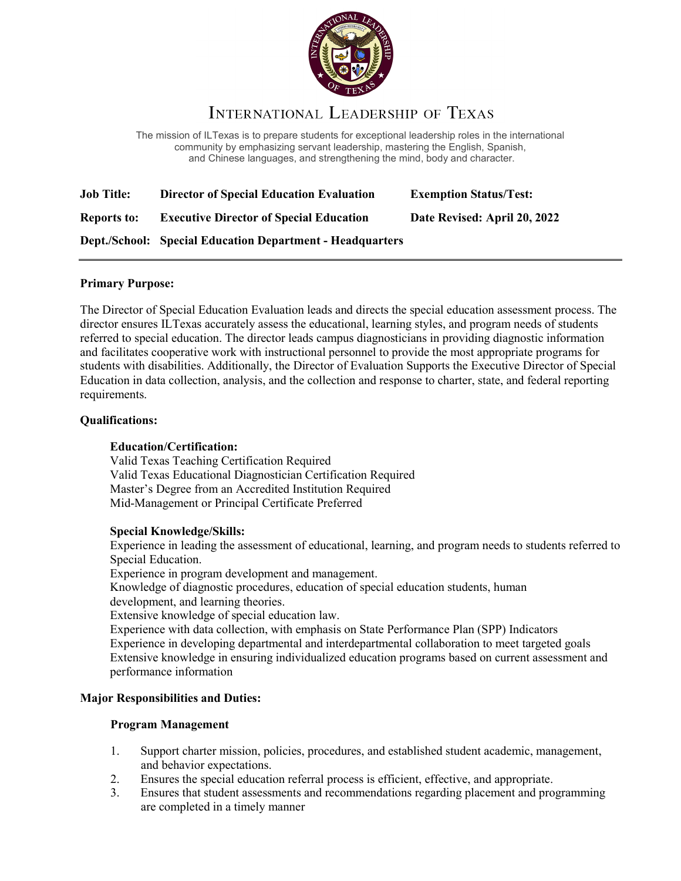

# INTERNATIONAL LEADERSHIP OF TEXAS

The mission of ILTexas is to prepare students for exceptional leadership roles in the international community by emphasizing servant leadership, mastering the English, Spanish, and Chinese languages, and strengthening the mind, body and character.

| <b>Job Title:</b>  | <b>Director of Special Education Evaluation</b>                  | <b>Exemption Status/Test:</b> |
|--------------------|------------------------------------------------------------------|-------------------------------|
| <b>Reports to:</b> | <b>Executive Director of Special Education</b>                   | Date Revised: April 20, 2022  |
|                    | <b>Dept./School: Special Education Department - Headquarters</b> |                               |

## **Primary Purpose:**

The Director of Special Education Evaluation leads and directs the special education assessment process. The director ensures ILTexas accurately assess the educational, learning styles, and program needs of students referred to special education. The director leads campus diagnosticians in providing diagnostic information and facilitates cooperative work with instructional personnel to provide the most appropriate programs for students with disabilities. Additionally, the Director of Evaluation Supports the Executive Director of Special Education in data collection, analysis, and the collection and response to charter, state, and federal reporting requirements.

#### **Qualifications:**

### **Education/Certification:**

Valid Texas Teaching Certification Required Valid Texas Educational Diagnostician Certification Required Master's Degree from an Accredited Institution Required Mid-Management or Principal Certificate Preferred

#### **Special Knowledge/Skills:**

Experience in leading the assessment of educational, learning, and program needs to students referred to Special Education.

Experience in program development and management.

Knowledge of diagnostic procedures, education of special education students, human development, and learning theories.

Extensive knowledge of special education law.

Experience with data collection, with emphasis on State Performance Plan (SPP) Indicators Experience in developing departmental and interdepartmental collaboration to meet targeted goals Extensive knowledge in ensuring individualized education programs based on current assessment and performance information

#### **Major Responsibilities and Duties:**

#### **Program Management**

- 1. Support charter mission, policies, procedures, and established student academic, management, and behavior expectations.
- 2. Ensures the special education referral process is efficient, effective, and appropriate.
- 3. Ensures that student assessments and recommendations regarding placement and programming are completed in a timely manner